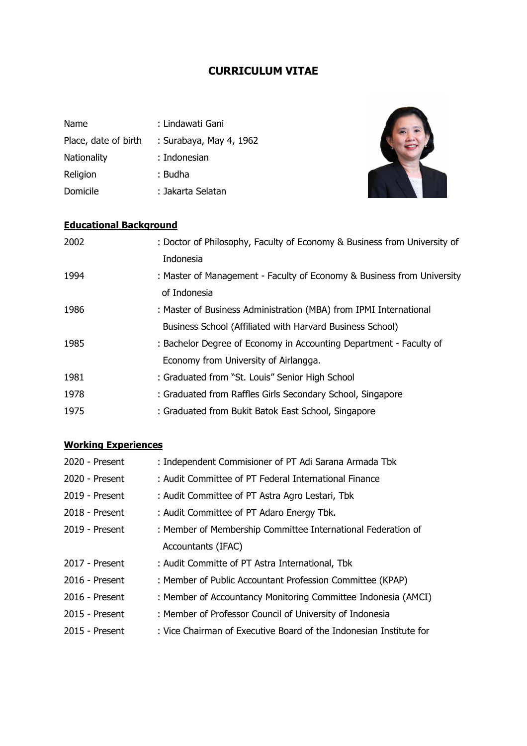## **CURRICULUM VITAE**

| Name                 | : Lindawati Gani        |
|----------------------|-------------------------|
| Place, date of birth | : Surabaya, May 4, 1962 |
| <b>Nationality</b>   | : Indonesian            |
| Religion             | : Budha                 |
| Domicile             | : Jakarta Selatan       |



## **Educational Background**

| 2002 | : Doctor of Philosophy, Faculty of Economy & Business from University of |
|------|--------------------------------------------------------------------------|
|      | Indonesia                                                                |
| 1994 | : Master of Management - Faculty of Economy & Business from University   |
|      | of Indonesia                                                             |
| 1986 | : Master of Business Administration (MBA) from IPMI International        |
|      | Business School (Affiliated with Harvard Business School)                |
| 1985 | : Bachelor Degree of Economy in Accounting Department - Faculty of       |
|      | Economy from University of Airlangga.                                    |
| 1981 | : Graduated from "St. Louis" Senior High School                          |
| 1978 | : Graduated from Raffles Girls Secondary School, Singapore               |
| 1975 | : Graduated from Bukit Batok East School, Singapore                      |

## **Working Experiences**

| 2020 - Present | : Independent Commisioner of PT Adi Sarana Armada Tbk              |
|----------------|--------------------------------------------------------------------|
| 2020 - Present | : Audit Committee of PT Federal International Finance              |
| 2019 - Present | : Audit Committee of PT Astra Agro Lestari, Tbk                    |
| 2018 - Present | : Audit Committee of PT Adaro Energy Tbk.                          |
| 2019 - Present | : Member of Membership Committee International Federation of       |
|                | Accountants (IFAC)                                                 |
| 2017 - Present | : Audit Committe of PT Astra International, Tbk                    |
| 2016 - Present | : Member of Public Accountant Profession Committee (KPAP)          |
| 2016 - Present | : Member of Accountancy Monitoring Committee Indonesia (AMCI)      |
| 2015 - Present | : Member of Professor Council of University of Indonesia           |
| 2015 - Present | : Vice Chairman of Executive Board of the Indonesian Institute for |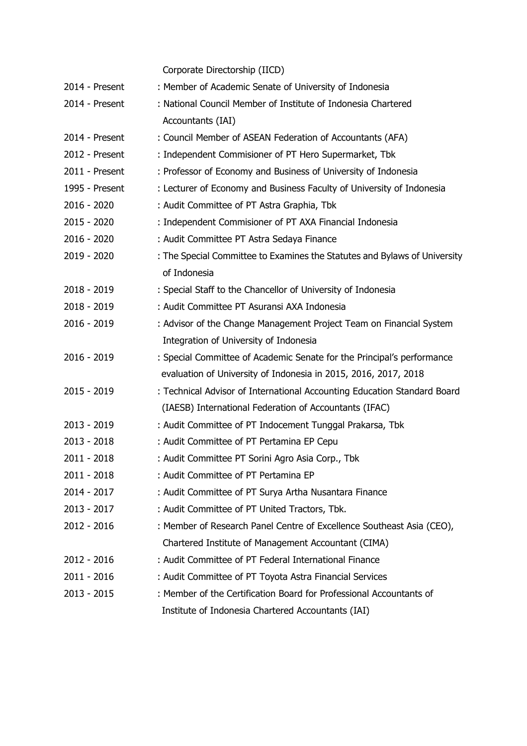|                | Corporate Directorship (IICD)                                             |
|----------------|---------------------------------------------------------------------------|
| 2014 - Present | : Member of Academic Senate of University of Indonesia                    |
| 2014 - Present | : National Council Member of Institute of Indonesia Chartered             |
|                | Accountants (IAI)                                                         |
| 2014 - Present | : Council Member of ASEAN Federation of Accountants (AFA)                 |
| 2012 - Present | : Independent Commisioner of PT Hero Supermarket, Tbk                     |
| 2011 - Present | : Professor of Economy and Business of University of Indonesia            |
| 1995 - Present | : Lecturer of Economy and Business Faculty of University of Indonesia     |
| 2016 - 2020    | : Audit Committee of PT Astra Graphia, Tbk                                |
| 2015 - 2020    | : Independent Commisioner of PT AXA Financial Indonesia                   |
| 2016 - 2020    | : Audit Committee PT Astra Sedaya Finance                                 |
| 2019 - 2020    | : The Special Committee to Examines the Statutes and Bylaws of University |
|                | of Indonesia                                                              |
| $2018 - 2019$  | : Special Staff to the Chancellor of University of Indonesia              |
| 2018 - 2019    | : Audit Committee PT Asuransi AXA Indonesia                               |
| 2016 - 2019    | : Advisor of the Change Management Project Team on Financial System       |
|                | Integration of University of Indonesia                                    |
| 2016 - 2019    | : Special Committee of Academic Senate for the Principal's performance    |
|                | evaluation of University of Indonesia in 2015, 2016, 2017, 2018           |
| 2015 - 2019    | : Technical Advisor of International Accounting Education Standard Board  |
|                | (IAESB) International Federation of Accountants (IFAC)                    |
| 2013 - 2019    | : Audit Committee of PT Indocement Tunggal Prakarsa, Tbk                  |
| $2013 - 2018$  | : Audit Committee of PT Pertamina EP Cepu                                 |
| 2011 - 2018    | : Audit Committee PT Sorini Agro Asia Corp., Tbk                          |
| 2011 - 2018    | : Audit Committee of PT Pertamina EP                                      |
| 2014 - 2017    | : Audit Committee of PT Surya Artha Nusantara Finance                     |
| 2013 - 2017    | : Audit Committee of PT United Tractors, Tbk.                             |
| 2012 - 2016    | : Member of Research Panel Centre of Excellence Southeast Asia (CEO),     |
|                | Chartered Institute of Management Accountant (CIMA)                       |
| 2012 - 2016    | : Audit Committee of PT Federal International Finance                     |
| 2011 - 2016    | : Audit Committee of PT Toyota Astra Financial Services                   |
| 2013 - 2015    | : Member of the Certification Board for Professional Accountants of       |
|                | Institute of Indonesia Chartered Accountants (IAI)                        |